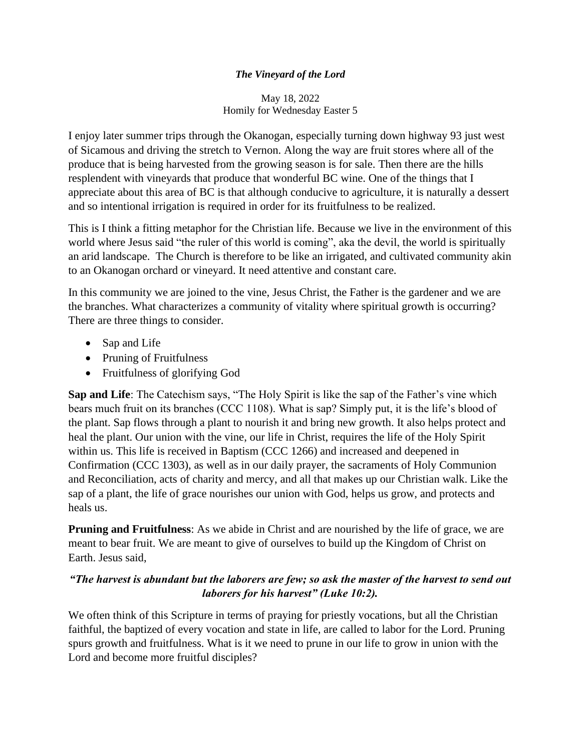## *The Vineyard of the Lord*

May 18, 2022 Homily for Wednesday Easter 5

I enjoy later summer trips through the Okanogan, especially turning down highway 93 just west of Sicamous and driving the stretch to Vernon. Along the way are fruit stores where all of the produce that is being harvested from the growing season is for sale. Then there are the hills resplendent with vineyards that produce that wonderful BC wine. One of the things that I appreciate about this area of BC is that although conducive to agriculture, it is naturally a dessert and so intentional irrigation is required in order for its fruitfulness to be realized.

This is I think a fitting metaphor for the Christian life. Because we live in the environment of this world where Jesus said "the ruler of this world is coming", aka the devil, the world is spiritually an arid landscape. The Church is therefore to be like an irrigated, and cultivated community akin to an Okanogan orchard or vineyard. It need attentive and constant care.

In this community we are joined to the vine, Jesus Christ, the Father is the gardener and we are the branches. What characterizes a community of vitality where spiritual growth is occurring? There are three things to consider.

- Sap and Life
- Pruning of Fruitfulness
- Fruitfulness of glorifying God

**Sap and Life**: The Catechism says, "The Holy Spirit is like the sap of the Father's vine which bears much fruit on its branches (CCC 1108). What is sap? Simply put, it is the life's blood of the plant. Sap flows through a plant to nourish it and bring new growth. It also helps protect and heal the plant. Our union with the vine, our life in Christ, requires the life of the Holy Spirit within us. This life is received in Baptism (CCC 1266) and increased and deepened in Confirmation (CCC 1303), as well as in our daily prayer, the sacraments of Holy Communion and Reconciliation, acts of charity and mercy, and all that makes up our Christian walk. Like the sap of a plant, the life of grace nourishes our union with God, helps us grow, and protects and heals us.

**Pruning and Fruitfulness:** As we abide in Christ and are nourished by the life of grace, we are meant to bear fruit. We are meant to give of ourselves to build up the Kingdom of Christ on Earth. Jesus said,

## *"The harvest is abundant but the laborers are few; so ask the master of the harvest to send out laborers for his harvest" (Luke 10:2).*

We often think of this Scripture in terms of praying for priestly vocations, but all the Christian faithful, the baptized of every vocation and state in life, are called to labor for the Lord. Pruning spurs growth and fruitfulness. What is it we need to prune in our life to grow in union with the Lord and become more fruitful disciples?